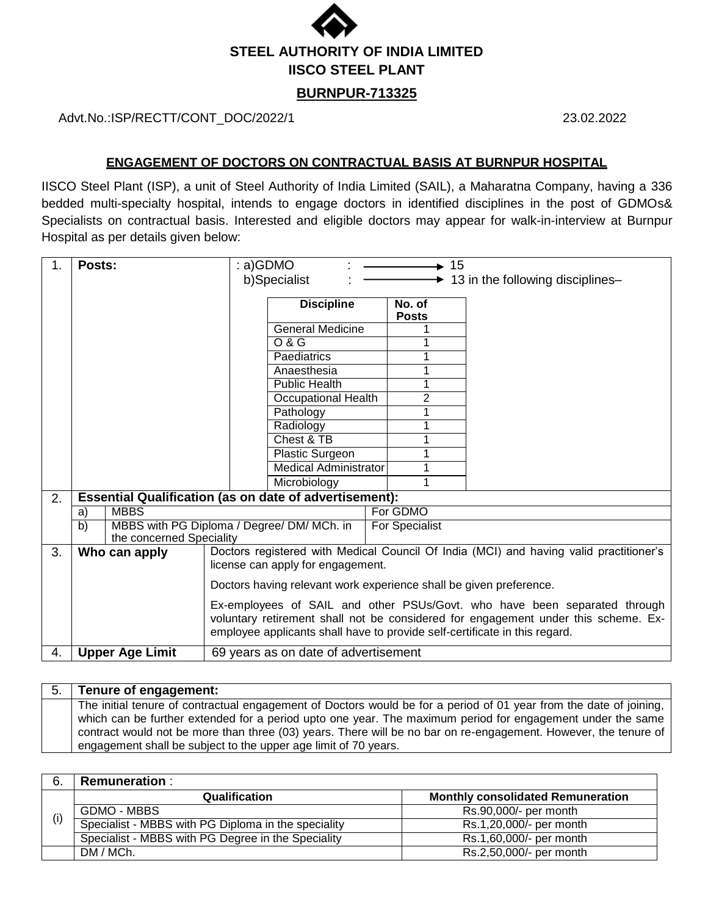

## **BURNPUR-713325**

Advt.No.:ISP/RECTT/CONT\_DOC/2022/1 23.02.2022

## **ENGAGEMENT OF DOCTORS ON CONTRACTUAL BASIS AT BURNPUR HOSPITAL**

IISCO Steel Plant (ISP), a unit of Steel Authority of India Limited (SAIL), a Maharatna Company, having a 336 bedded multi-specialty hospital, intends to engage doctors in identified disciplines in the post of GDMOs& Specialists on contractual basis. Interested and eligible doctors may appear for walk-in-interview at Burnpur Hospital as per details given below:

| 1. | Posts:                                                                                   |  | : a)GDMO<br>$\div$ 15                                              |  |                        |                                                                                                                                                                  |  |
|----|------------------------------------------------------------------------------------------|--|--------------------------------------------------------------------|--|------------------------|------------------------------------------------------------------------------------------------------------------------------------------------------------------|--|
|    |                                                                                          |  | b)Specialist                                                       |  | ▸                      | 13 in the following disciplines-                                                                                                                                 |  |
|    |                                                                                          |  |                                                                    |  |                        |                                                                                                                                                                  |  |
|    |                                                                                          |  | <b>Discipline</b>                                                  |  | No. of<br><b>Posts</b> |                                                                                                                                                                  |  |
|    |                                                                                          |  | <b>General Medicine</b>                                            |  |                        |                                                                                                                                                                  |  |
|    |                                                                                          |  | $\overline{O & G}$                                                 |  |                        |                                                                                                                                                                  |  |
|    |                                                                                          |  | Paediatrics                                                        |  |                        |                                                                                                                                                                  |  |
|    |                                                                                          |  | Anaesthesia                                                        |  |                        |                                                                                                                                                                  |  |
|    |                                                                                          |  | <b>Public Health</b>                                               |  |                        |                                                                                                                                                                  |  |
|    |                                                                                          |  | <b>Occupational Health</b>                                         |  | $\overline{2}$         |                                                                                                                                                                  |  |
|    |                                                                                          |  | Pathology                                                          |  |                        |                                                                                                                                                                  |  |
|    |                                                                                          |  | Radiology                                                          |  |                        |                                                                                                                                                                  |  |
|    |                                                                                          |  | Chest & TB                                                         |  |                        |                                                                                                                                                                  |  |
|    |                                                                                          |  | <b>Plastic Surgeon</b>                                             |  |                        |                                                                                                                                                                  |  |
|    |                                                                                          |  | <b>Medical Administrator</b>                                       |  |                        |                                                                                                                                                                  |  |
|    |                                                                                          |  | Microbiology                                                       |  |                        |                                                                                                                                                                  |  |
| 2. | <b>Essential Qualification (as on date of advertisement):</b>                            |  |                                                                    |  |                        |                                                                                                                                                                  |  |
|    | <b>MBBS</b><br>a)                                                                        |  |                                                                    |  | For GDMO               |                                                                                                                                                                  |  |
|    | $\overline{b}$<br>MBBS with PG Diploma / Degree/ DM/ MCh. in<br>the concerned Speciality |  |                                                                    |  | For Specialist         |                                                                                                                                                                  |  |
| 3. | Who can apply                                                                            |  |                                                                    |  |                        | Doctors registered with Medical Council Of India (MCI) and having valid practitioner's                                                                           |  |
|    |                                                                                          |  | license can apply for engagement.                                  |  |                        |                                                                                                                                                                  |  |
|    |                                                                                          |  | Doctors having relevant work experience shall be given preference. |  |                        |                                                                                                                                                                  |  |
|    |                                                                                          |  |                                                                    |  |                        |                                                                                                                                                                  |  |
|    |                                                                                          |  |                                                                    |  |                        | Ex-employees of SAIL and other PSUs/Govt. who have been separated through                                                                                        |  |
|    |                                                                                          |  |                                                                    |  |                        | voluntary retirement shall not be considered for engagement under this scheme. Ex-<br>employee applicants shall have to provide self-certificate in this regard. |  |
| 4. | <b>Upper Age Limit</b>                                                                   |  | 69 years as on date of advertisement                               |  |                        |                                                                                                                                                                  |  |
|    |                                                                                          |  |                                                                    |  |                        |                                                                                                                                                                  |  |

| Tenure of engagement:                                                                                              |
|--------------------------------------------------------------------------------------------------------------------|
| The initial tenure of contractual engagement of Doctors would be for a period of 01 year from the date of joining, |
| which can be further extended for a period upto one year. The maximum period for engagement under the same         |
| contract would not be more than three (03) years. There will be no bar on re-engagement. However, the tenure of    |
| engagement shall be subject to the upper age limit of 70 years.                                                    |

|     | <b>Remuneration:</b>                                |                                          |
|-----|-----------------------------------------------------|------------------------------------------|
| (i) | Qualification                                       | <b>Monthly consolidated Remuneration</b> |
|     | GDMO - MBBS                                         | Rs.90,000/- per month                    |
|     | Specialist - MBBS with PG Diploma in the speciality | Rs.1,20,000/- per month                  |
|     | Specialist - MBBS with PG Degree in the Speciality  | Rs.1,60,000/- per month                  |
|     | DM / MCh.                                           | Rs.2,50,000/- per month                  |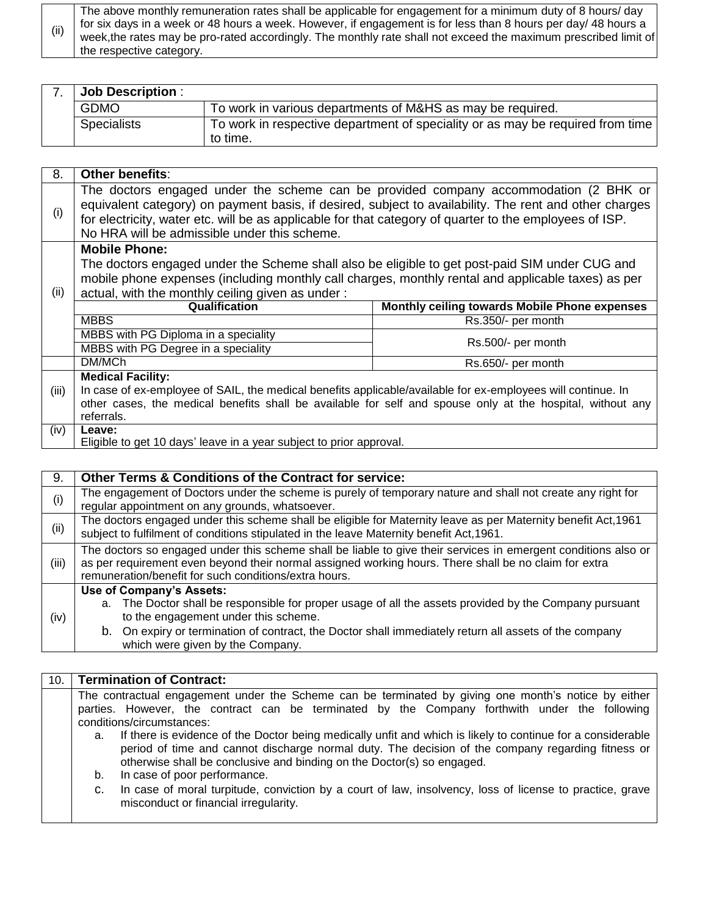(ii) The above monthly remuneration rates shall be applicable for engagement for a minimum duty of 8 hours/ day for six days in a week or 48 hours a week. However, if engagement is for less than 8 hours per day/ 48 hours a week,the rates may be pro-rated accordingly. The monthly rate shall not exceed the maximum prescribed limit of the respective category.

| <b>Job Description:</b> |                                                                                            |
|-------------------------|--------------------------------------------------------------------------------------------|
| <b>GDMO</b>             | To work in various departments of M&HS as may be required.                                 |
| <b>Specialists</b>      | To work in respective department of speciality or as may be required from time<br>to time. |

| 8.    | Other benefits:                                                                                              |                                               |  |  |  |
|-------|--------------------------------------------------------------------------------------------------------------|-----------------------------------------------|--|--|--|
|       | The doctors engaged under the scheme can be provided company accommodation (2 BHK or                         |                                               |  |  |  |
| (i)   | equivalent category) on payment basis, if desired, subject to availability. The rent and other charges       |                                               |  |  |  |
|       | for electricity, water etc. will be as applicable for that category of quarter to the employees of ISP.      |                                               |  |  |  |
|       | No HRA will be admissible under this scheme.                                                                 |                                               |  |  |  |
|       | <b>Mobile Phone:</b>                                                                                         |                                               |  |  |  |
|       | The doctors engaged under the Scheme shall also be eligible to get post-paid SIM under CUG and               |                                               |  |  |  |
|       | mobile phone expenses (including monthly call charges, monthly rental and applicable taxes) as per           |                                               |  |  |  |
| (ii)  | actual, with the monthly ceiling given as under:                                                             |                                               |  |  |  |
|       | Qualification                                                                                                | Monthly ceiling towards Mobile Phone expenses |  |  |  |
|       | <b>MBBS</b>                                                                                                  | Rs.350/- per month                            |  |  |  |
|       | MBBS with PG Diploma in a speciality                                                                         | Rs.500/- per month                            |  |  |  |
|       | MBBS with PG Degree in a speciality                                                                          |                                               |  |  |  |
|       | DM/MCh                                                                                                       | Rs.650/- per month                            |  |  |  |
|       | <b>Medical Facility:</b>                                                                                     |                                               |  |  |  |
| (iii) | In case of ex-employee of SAIL, the medical benefits applicable/available for ex-employees will continue. In |                                               |  |  |  |
|       | other cases, the medical benefits shall be available for self and spouse only at the hospital, without any   |                                               |  |  |  |
|       | referrals.                                                                                                   |                                               |  |  |  |
| (iv)  | Leave:                                                                                                       |                                               |  |  |  |
|       | Eligible to get 10 days' leave in a year subject to prior approval.                                          |                                               |  |  |  |

| 9.    | <b>Other Terms &amp; Conditions of the Contract for service:</b>                                               |  |  |  |  |  |  |
|-------|----------------------------------------------------------------------------------------------------------------|--|--|--|--|--|--|
| (i)   | The engagement of Doctors under the scheme is purely of temporary nature and shall not create any right for    |  |  |  |  |  |  |
|       | regular appointment on any grounds, whatsoever.                                                                |  |  |  |  |  |  |
| (ii)  | The doctors engaged under this scheme shall be eligible for Maternity leave as per Maternity benefit Act, 1961 |  |  |  |  |  |  |
|       | subject to fulfilment of conditions stipulated in the leave Maternity benefit Act, 1961.                       |  |  |  |  |  |  |
|       | The doctors so engaged under this scheme shall be liable to give their services in emergent conditions also or |  |  |  |  |  |  |
| (iii) | as per requirement even beyond their normal assigned working hours. There shall be no claim for extra          |  |  |  |  |  |  |
|       | remuneration/benefit for such conditions/extra hours.                                                          |  |  |  |  |  |  |
|       | Use of Company's Assets:                                                                                       |  |  |  |  |  |  |
|       | a. The Doctor shall be responsible for proper usage of all the assets provided by the Company pursuant         |  |  |  |  |  |  |
| (iv)  | to the engagement under this scheme.                                                                           |  |  |  |  |  |  |
|       | b. On expiry or termination of contract, the Doctor shall immediately return all assets of the company         |  |  |  |  |  |  |
|       | which were given by the Company.                                                                               |  |  |  |  |  |  |

| 10. | <b>Termination of Contract:</b>                                                                                                                                                                                                                                                                  |                                                                                                                                                   |  |  |  |  |  |  |  |
|-----|--------------------------------------------------------------------------------------------------------------------------------------------------------------------------------------------------------------------------------------------------------------------------------------------------|---------------------------------------------------------------------------------------------------------------------------------------------------|--|--|--|--|--|--|--|
|     |                                                                                                                                                                                                                                                                                                  | The contractual engagement under the Scheme can be terminated by giving one month's notice by either                                              |  |  |  |  |  |  |  |
|     | parties. However, the contract can be terminated by the Company forthwith under the following                                                                                                                                                                                                    |                                                                                                                                                   |  |  |  |  |  |  |  |
|     | conditions/circumstances:                                                                                                                                                                                                                                                                        |                                                                                                                                                   |  |  |  |  |  |  |  |
|     | If there is evidence of the Doctor being medically unfit and which is likely to continue for a considerable<br>a.<br>period of time and cannot discharge normal duty. The decision of the company regarding fitness or<br>otherwise shall be conclusive and binding on the Doctor(s) so engaged. |                                                                                                                                                   |  |  |  |  |  |  |  |
|     | In case of poor performance.<br>b.                                                                                                                                                                                                                                                               |                                                                                                                                                   |  |  |  |  |  |  |  |
|     | C.                                                                                                                                                                                                                                                                                               | In case of moral turpitude, conviction by a court of law, insolvency, loss of license to practice, grave<br>misconduct or financial irregularity. |  |  |  |  |  |  |  |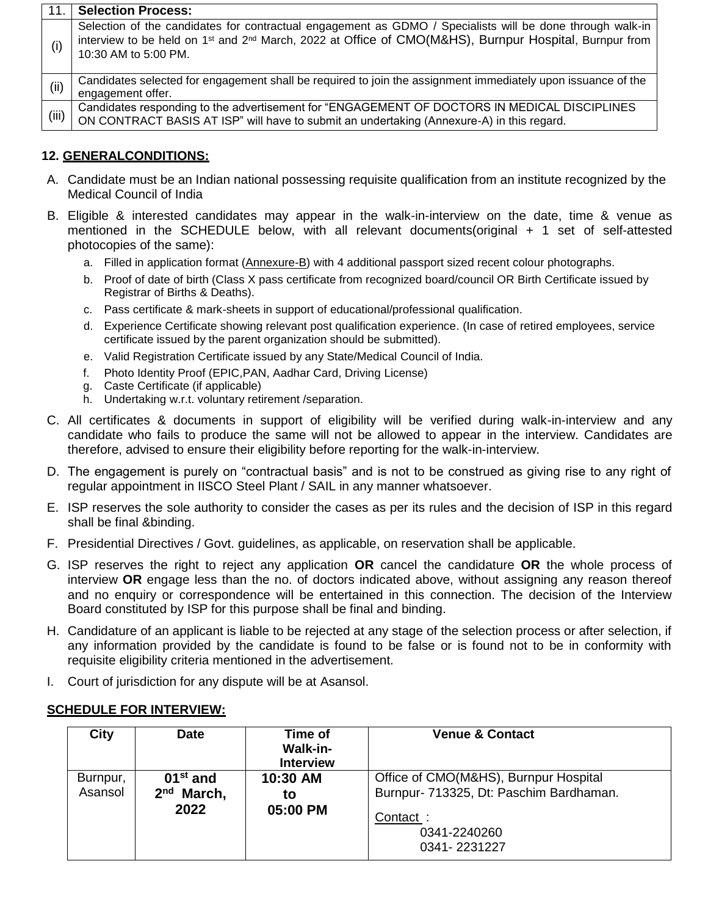| 11.   | <b>Selection Process:</b>                                                                                                                                                                                                                                           |
|-------|---------------------------------------------------------------------------------------------------------------------------------------------------------------------------------------------------------------------------------------------------------------------|
| (i)   | Selection of the candidates for contractual engagement as GDMO / Specialists will be done through walk-in<br>interview to be held on 1 <sup>st</sup> and 2 <sup>nd</sup> March, 2022 at Office of CMO(M&HS), Burnpur Hospital, Burnpur from<br>10:30 AM to 5:00 PM. |
| (ii)  | Candidates selected for engagement shall be required to join the assignment immediately upon issuance of the<br>engagement offer.                                                                                                                                   |
| (iii) | Candidates responding to the advertisement for "ENGAGEMENT OF DOCTORS IN MEDICAL DISCIPLINES<br>ON CONTRACT BASIS AT ISP" will have to submit an undertaking (Annexure-A) in this regard.                                                                           |

## **12. GENERALCONDITIONS:**

- A. Candidate must be an Indian national possessing requisite qualification from an institute recognized by the Medical Council of India
- B. Eligible & interested candidates may appear in the walk-in-interview on the date, time & venue as mentioned in the SCHEDULE below, with all relevant documents(original + 1 set of self-attested photocopies of the same):
	- a. Filled in application format (Annexure-B) with 4 additional passport sized recent colour photographs.
	- b. Proof of date of birth (Class X pass certificate from recognized board/council OR Birth Certificate issued by Registrar of Births & Deaths).
	- c. Pass certificate & mark-sheets in support of educational/professional qualification.
	- d. Experience Certificate showing relevant post qualification experience. (In case of retired employees, service certificate issued by the parent organization should be submitted).
	- e. Valid Registration Certificate issued by any State/Medical Council of India.
	- f. Photo Identity Proof (EPIC,PAN, Aadhar Card, Driving License)
	- g. Caste Certificate (if applicable)
	- h. Undertaking w.r.t. voluntary retirement /separation.
- C. All certificates & documents in support of eligibility will be verified during walk-in-interview and any candidate who fails to produce the same will not be allowed to appear in the interview. Candidates are therefore, advised to ensure their eligibility before reporting for the walk-in-interview.
- D. The engagement is purely on "contractual basis" and is not to be construed as giving rise to any right of regular appointment in IISCO Steel Plant / SAIL in any manner whatsoever.
- E. ISP reserves the sole authority to consider the cases as per its rules and the decision of ISP in this regard shall be final &binding.
- F. Presidential Directives / Govt. guidelines, as applicable, on reservation shall be applicable.
- G. ISP reserves the right to reject any application **OR** cancel the candidature **OR** the whole process of interview **OR** engage less than the no. of doctors indicated above, without assigning any reason thereof and no enquiry or correspondence will be entertained in this connection. The decision of the Interview Board constituted by ISP for this purpose shall be final and binding.
- H. Candidature of an applicant is liable to be rejected at any stage of the selection process or after selection, if any information provided by the candidate is found to be false or is found not to be in conformity with requisite eligibility criteria mentioned in the advertisement.
- I. Court of jurisdiction for any dispute will be at Asansol.

## **SCHEDULE FOR INTERVIEW:**

| City                | <b>Date</b>                          | Time of<br>Walk-in-<br><b>Interview</b> | <b>Venue &amp; Contact</b>                                                       |
|---------------------|--------------------------------------|-----------------------------------------|----------------------------------------------------------------------------------|
| Burnpur,<br>Asansol | $01st$ and<br>2 <sup>nd</sup> March, | 10:30 AM<br>to                          | Office of CMO(M&HS), Burnpur Hospital<br>Burnpur- 713325, Dt: Paschim Bardhaman. |
|                     | 2022                                 | 05:00 PM                                | Contact:<br>0341-2240260<br>0341-2231227                                         |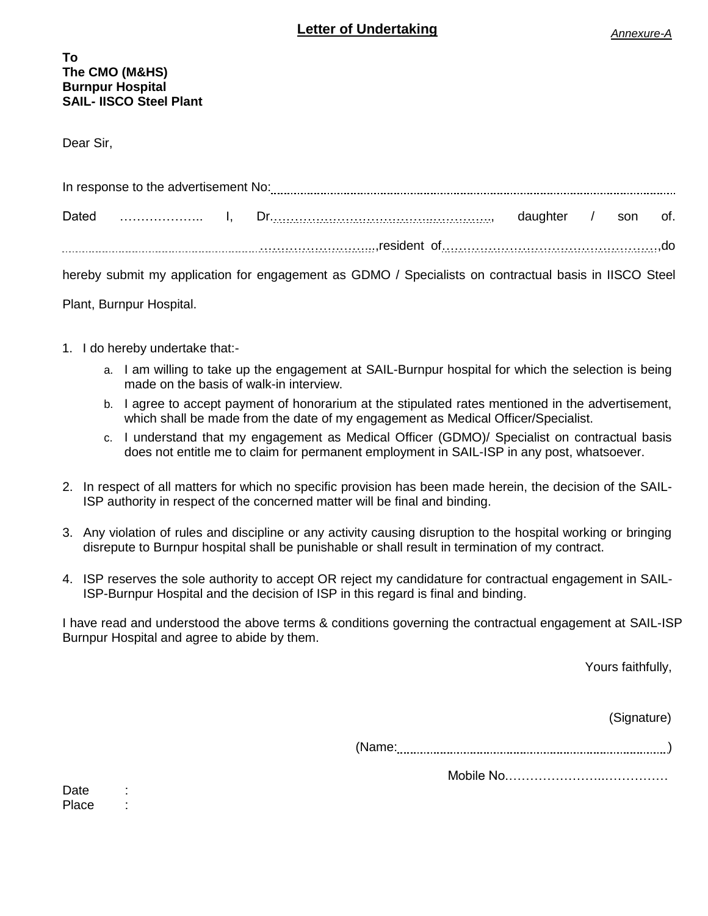#### **To The CMO (M&HS) Burnpur Hospital SAIL- IISCO Steel Plant**

Dear Sir,

|  | hereby submit my application for engagement as GDMO / Specialists on contractual basis in IISCO Steel |  |  |
|--|-------------------------------------------------------------------------------------------------------|--|--|
|  |                                                                                                       |  |  |

Plant, Burnpur Hospital.

- 1. I do hereby undertake that:
	- a. I am willing to take up the engagement at SAIL-Burnpur hospital for which the selection is being made on the basis of walk-in interview.
	- b. I agree to accept payment of honorarium at the stipulated rates mentioned in the advertisement, which shall be made from the date of my engagement as Medical Officer/Specialist.
	- c. I understand that my engagement as Medical Officer (GDMO)/ Specialist on contractual basis does not entitle me to claim for permanent employment in SAIL-ISP in any post, whatsoever.
- 2. In respect of all matters for which no specific provision has been made herein, the decision of the SAIL-ISP authority in respect of the concerned matter will be final and binding.
- 3. Any violation of rules and discipline or any activity causing disruption to the hospital working or bringing disrepute to Burnpur hospital shall be punishable or shall result in termination of my contract.
- 4. ISP reserves the sole authority to accept OR reject my candidature for contractual engagement in SAIL-ISP-Burnpur Hospital and the decision of ISP in this regard is final and binding.

I have read and understood the above terms & conditions governing the contractual engagement at SAIL-ISP Burnpur Hospital and agree to abide by them.

Yours faithfully,

(Signature)

(Name: )

Mobile No.…………………..……………

Date : Place :